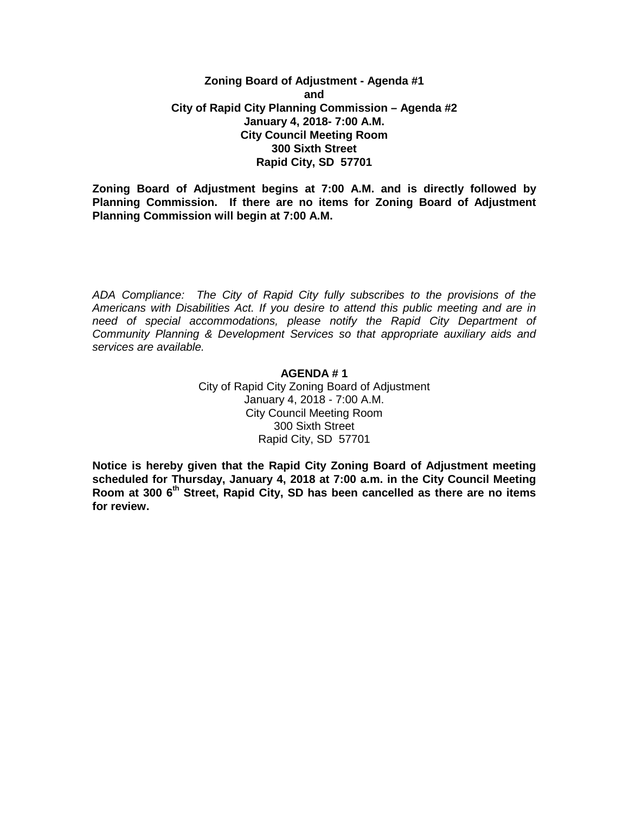## **Zoning Board of Adjustment - Agenda #1 and City of Rapid City Planning Commission – Agenda #2 January 4, 2018- 7:00 A.M. City Council Meeting Room 300 Sixth Street Rapid City, SD 57701**

**Zoning Board of Adjustment begins at 7:00 A.M. and is directly followed by Planning Commission. If there are no items for Zoning Board of Adjustment Planning Commission will begin at 7:00 A.M.**

*ADA Compliance: The City of Rapid City fully subscribes to the provisions of the Americans with Disabilities Act. If you desire to attend this public meeting and are in need of special accommodations, please notify the Rapid City Department of Community Planning & Development Services so that appropriate auxiliary aids and services are available.*

## **AGENDA # 1**

City of Rapid City Zoning Board of Adjustment January 4, 2018 - 7:00 A.M. City Council Meeting Room 300 Sixth Street Rapid City, SD 57701

**Notice is hereby given that the Rapid City Zoning Board of Adjustment meeting scheduled for Thursday, January 4, 2018 at 7:00 a.m. in the City Council Meeting Room at 300 6th Street, Rapid City, SD has been cancelled as there are no items for review.**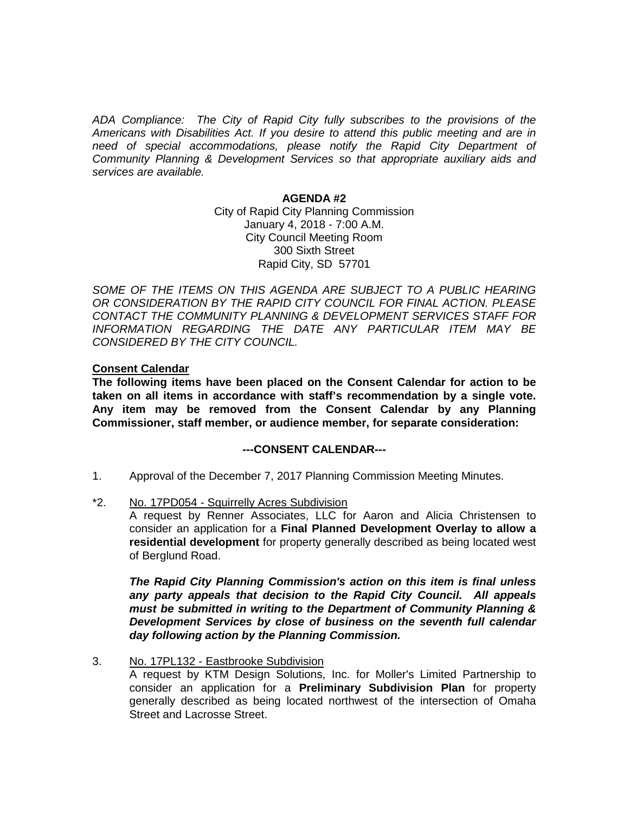*ADA Compliance: The City of Rapid City fully subscribes to the provisions of the Americans with Disabilities Act. If you desire to attend this public meeting and are in need of special accommodations, please notify the Rapid City Department of Community Planning & Development Services so that appropriate auxiliary aids and services are available.*

#### **AGENDA #2**

City of Rapid City Planning Commission January 4, 2018 - 7:00 A.M. City Council Meeting Room 300 Sixth Street Rapid City, SD 57701

SOME OF THE ITEMS ON THIS AGENDA ARE SUBJECT TO A PUBLIC HEARING *OR CONSIDERATION BY THE RAPID CITY COUNCIL FOR FINAL ACTION. PLEASE CONTACT THE COMMUNITY PLANNING & DEVELOPMENT SERVICES STAFF FOR INFORMATION REGARDING THE DATE ANY PARTICULAR ITEM MAY BE CONSIDERED BY THE CITY COUNCIL.*

## **Consent Calendar**

**The following items have been placed on the Consent Calendar for action to be taken on all items in accordance with staff's recommendation by a single vote. Any item may be removed from the Consent Calendar by any Planning Commissioner, staff member, or audience member, for separate consideration:**

### **---CONSENT CALENDAR---**

- 1. Approval of the December 7, 2017 Planning Commission Meeting Minutes.
- \*2. No. 17PD054 Squirrelly Acres Subdivision

A request by Renner Associates, LLC for Aaron and Alicia Christensen to consider an application for a **Final Planned Development Overlay to allow a residential development** for property generally described as being located west of Berglund Road.

*The Rapid City Planning Commission's action on this item is final unless any party appeals that decision to the Rapid City Council. All appeals must be submitted in writing to the Department of Community Planning & Development Services by close of business on the seventh full calendar day following action by the Planning Commission.*

3. No. 17PL132 - Eastbrooke Subdivision

A request by KTM Design Solutions, Inc. for Moller's Limited Partnership to consider an application for a **Preliminary Subdivision Plan** for property generally described as being located northwest of the intersection of Omaha Street and Lacrosse Street.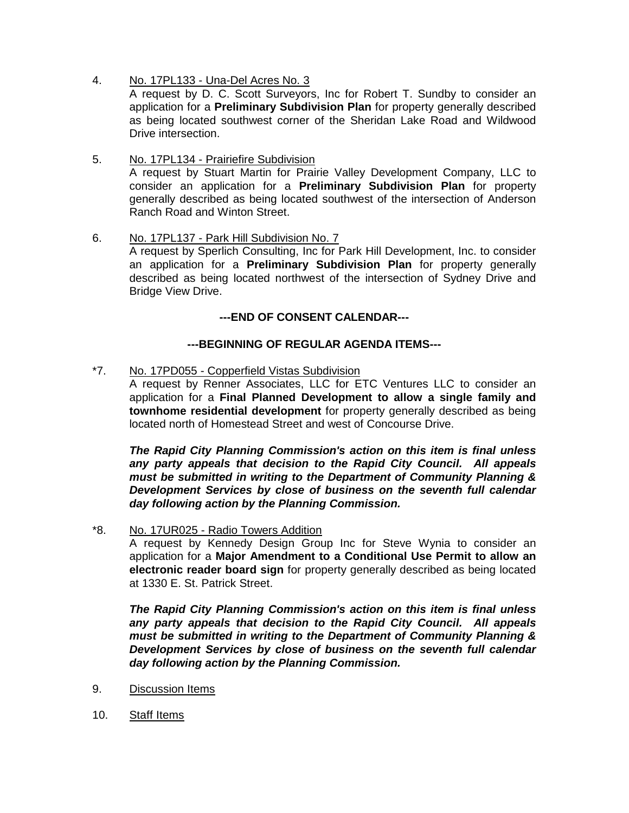4. No. 17PL133 - Una-Del Acres No. 3

A request by D. C. Scott Surveyors, Inc for Robert T. Sundby to consider an application for a **Preliminary Subdivision Plan** for property generally described as being located southwest corner of the Sheridan Lake Road and Wildwood Drive intersection.

- 5. No. 17PL134 Prairiefire Subdivision A request by Stuart Martin for Prairie Valley Development Company, LLC to consider an application for a **Preliminary Subdivision Plan** for property generally described as being located southwest of the intersection of Anderson Ranch Road and Winton Street.
- 6. No. 17PL137 Park Hill Subdivision No. 7 A request by Sperlich Consulting, Inc for Park Hill Development, Inc. to consider an application for a **Preliminary Subdivision Plan** for property generally described as being located northwest of the intersection of Sydney Drive and Bridge View Drive.

# **---END OF CONSENT CALENDAR---**

# **---BEGINNING OF REGULAR AGENDA ITEMS---**

\*7. No. 17PD055 - Copperfield Vistas Subdivision

A request by Renner Associates, LLC for ETC Ventures LLC to consider an application for a **Final Planned Development to allow a single family and townhome residential development** for property generally described as being located north of Homestead Street and west of Concourse Drive.

*The Rapid City Planning Commission's action on this item is final unless any party appeals that decision to the Rapid City Council. All appeals must be submitted in writing to the Department of Community Planning & Development Services by close of business on the seventh full calendar day following action by the Planning Commission.*

\*8. No. 17UR025 - Radio Towers Addition

A request by Kennedy Design Group Inc for Steve Wynia to consider an application for a **Major Amendment to a Conditional Use Permit to allow an electronic reader board sign** for property generally described as being located at 1330 E. St. Patrick Street.

*The Rapid City Planning Commission's action on this item is final unless any party appeals that decision to the Rapid City Council. All appeals must be submitted in writing to the Department of Community Planning & Development Services by close of business on the seventh full calendar day following action by the Planning Commission.*

- 9. Discussion Items
- 10. Staff Items